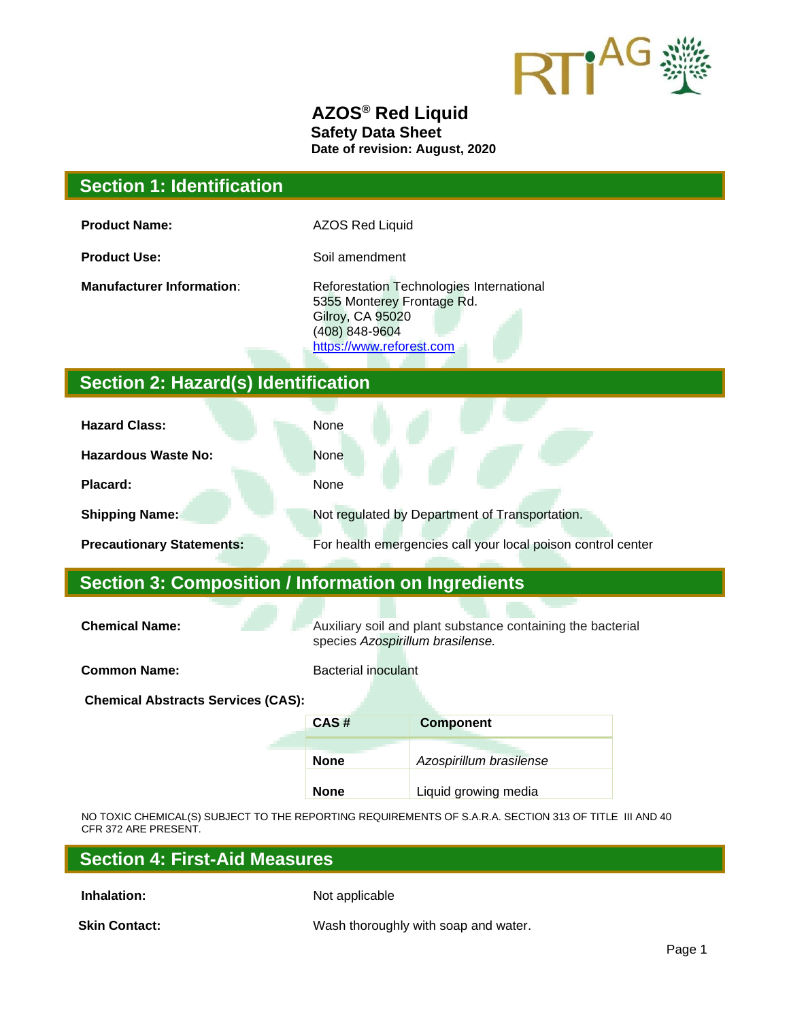

#### **AZOS® Red Liquid Safety Data Sheet Date of revision: August, 2020**

## **Section 1: Identification**

**Product Name:** AZOS Red Liquid

**Product Use:** Soil amendment

**Manufacturer Information**: Reforestation Technologies International 5355 Monterey Frontage Rd. Gilroy, CA 95020 (408) 848-9604 [https://www.reforest.com](https://www.reforest.com/)

# **Section 2: Hazard(s) Identification**

| <b>Hazard Class:</b>             | None                                                         |
|----------------------------------|--------------------------------------------------------------|
| <b>Hazardous Waste No:</b>       | <b>None</b>                                                  |
| Placard:                         | None                                                         |
| <b>Shipping Name:</b>            | Not regulated by Department of Transportation.               |
| <b>Precautionary Statements:</b> | For health emergencies call your local poison control center |

## **Section 3: Composition / Information on Ingredients**

**Chemical Name:** Auxiliary soil and plant substance containing the bacterial species *Azospirillum brasilense.*

**Common Name:** Bacterial inoculant

**Chemical Abstracts Services (CAS):**

| CAS# | <b>Component</b>        |  |  |
|------|-------------------------|--|--|
| None | Azospirillum brasilense |  |  |
| None | Liquid growing media    |  |  |

NO TOXIC CHEMICAL(S) SUBJECT TO THE REPORTING REQUIREMENTS OF S.A.R.A. SECTION 313 OF TITLE III AND 40 CFR 372 ARE PRESENT.

| <b>Section 4: First-Aid Measures</b> |  |  |
|--------------------------------------|--|--|
|--------------------------------------|--|--|

**Inhalation:** Not applicable

**Skin Contact:** Wash thoroughly with soap and water.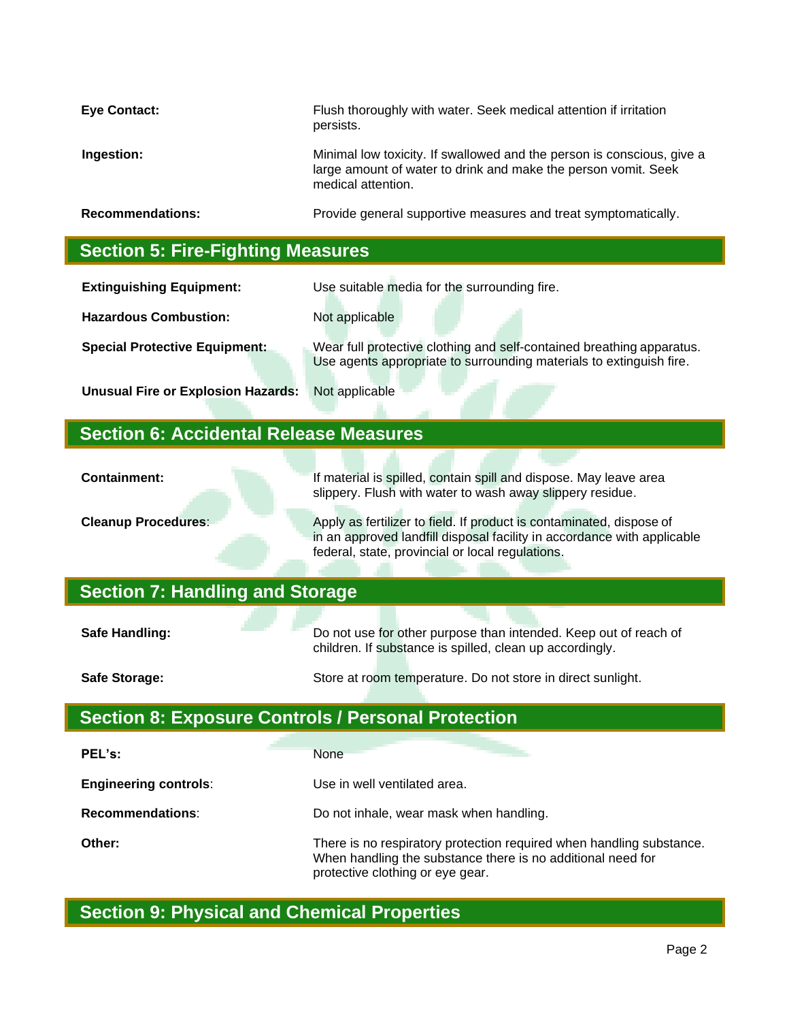| <b>Eye Contact:</b>                      | Flush thoroughly with water. Seek medical attention if irritation<br>persists.                                                                                 |  |
|------------------------------------------|----------------------------------------------------------------------------------------------------------------------------------------------------------------|--|
| Ingestion:                               | Minimal low toxicity. If swallowed and the person is conscious, give a<br>large amount of water to drink and make the person vomit. Seek<br>medical attention. |  |
| <b>Recommendations:</b>                  | Provide general supportive measures and treat symptomatically.                                                                                                 |  |
| <b>Section 5: Fire-Fighting Measures</b> |                                                                                                                                                                |  |

| <b>Extinguishing Equipment:</b>           | Use suitable media for the surrounding fire.                                                                                                 |
|-------------------------------------------|----------------------------------------------------------------------------------------------------------------------------------------------|
| <b>Hazardous Combustion:</b>              | Not applicable                                                                                                                               |
| <b>Special Protective Equipment:</b>      | Wear full protective clothing and self-contained breathing apparatus.<br>Use agents appropriate to surrounding materials to extinguish fire. |
| <b>Unusual Fire or Explosion Hazards:</b> | Not applicable                                                                                                                               |

# **Section 6: Accidental Release Measures**

| <b>Containment:</b>                    | If material is spilled, contain spill and dispose. May leave area<br>slippery. Flush with water to wash away slippery residue.                                                                      |  |  |
|----------------------------------------|-----------------------------------------------------------------------------------------------------------------------------------------------------------------------------------------------------|--|--|
| <b>Cleanup Procedures:</b>             | Apply as fertilizer to field. If product is contaminated, dispose of<br>in an approved landfill disposal facility in accordance with applicable<br>federal, state, provincial or local regulations. |  |  |
| <b>Section 7: Handling and Storage</b> |                                                                                                                                                                                                     |  |  |
| Safe Handling:                         | Do not use for other purpose than intended. Keep out of reach of                                                                                                                                    |  |  |

|  | <u>DU HULUSE TUI ULITEI DUIDUSE IHAH IHIEHUEU. NEED UULUI TEAUT UL</u> |
|--|------------------------------------------------------------------------|
|  | children. If substance is spilled, clean up accordingly.               |
|  |                                                                        |

| Safe Storage: |  | Store at room temperature. Do not store in direct sunlight. |  |
|---------------|--|-------------------------------------------------------------|--|
|               |  |                                                             |  |

# **Section 8: Exposure Controls / Personal Protection**

| PEL's:                       | <b>None</b>                                                                                                                                                             |
|------------------------------|-------------------------------------------------------------------------------------------------------------------------------------------------------------------------|
| <b>Engineering controls:</b> | Use in well ventilated area.                                                                                                                                            |
| <b>Recommendations:</b>      | Do not inhale, wear mask when handling.                                                                                                                                 |
| Other:                       | There is no respiratory protection required when handling substance.<br>When handling the substance there is no additional need for<br>protective clothing or eye gear. |

# **Section 9: Physical and Chemical Properties**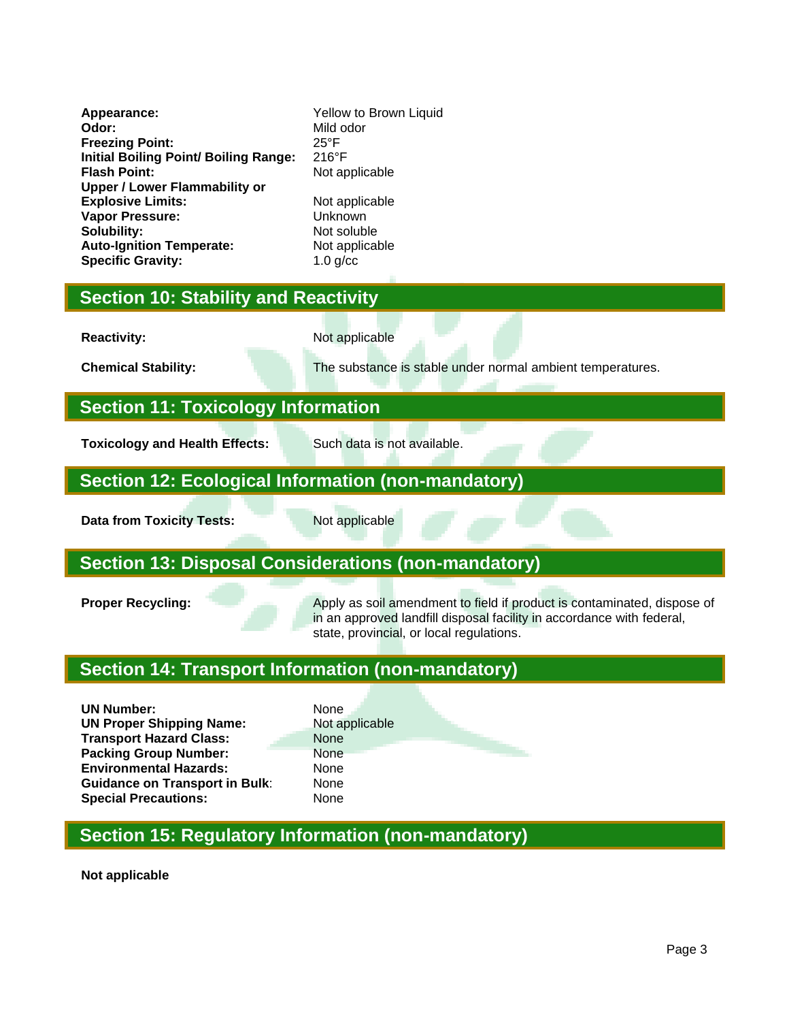**Appearance:** Yellow to Brown Liquid **Odor:** Mild odor<br> **Preezing Point:** Exercise 25°F **Freezing Point:** 25°F **Initial Boiling Point/ Boiling Range: Flash Point:** Not applicable **Upper / Lower Flammability or Explosive Limits:** Not applicable **Vapor Pressure:** Unknown **Solubility:** Not soluble **Auto-Ignition Temperate:** Not applicable **Specific Gravity:** 1.0 g/cc

#### **Section 10: Stability and Reactivity**

**Reactivity:** Not applicable

**Chemical Stability:** The substance is stable under normal ambient temperatures.

### **Section 11: Toxicology Information**

**Toxicology and Health Effects:** Such data is not available.

#### **Section 12: Ecological Information (non-mandatory)**

**Data from Toxicity Tests:** Not applicable

# **Section 13: Disposal Considerations (non-mandatory)**

**Proper Recycling:** Apply as soil amendment to field if product is contaminated, dispose of in an approved landfill disposal facility in accordance with federal, state, provincial, or local regulations.

# **Section 14: Transport Information (non-mandatory)**

| <b>UN Number:</b>                     | None  |
|---------------------------------------|-------|
| <b>UN Proper Shipping Name:</b>       | Not a |
| <b>Transport Hazard Class:</b>        | None  |
| <b>Packing Group Number:</b>          | None  |
| <b>Environmental Hazards:</b>         | None  |
| <b>Guidance on Transport in Bulk:</b> | None  |
| <b>Special Precautions:</b>           | None  |

**Not applicable None** 

# **Section 15: Regulatory Information (non-mandatory)**

**Not applicable**